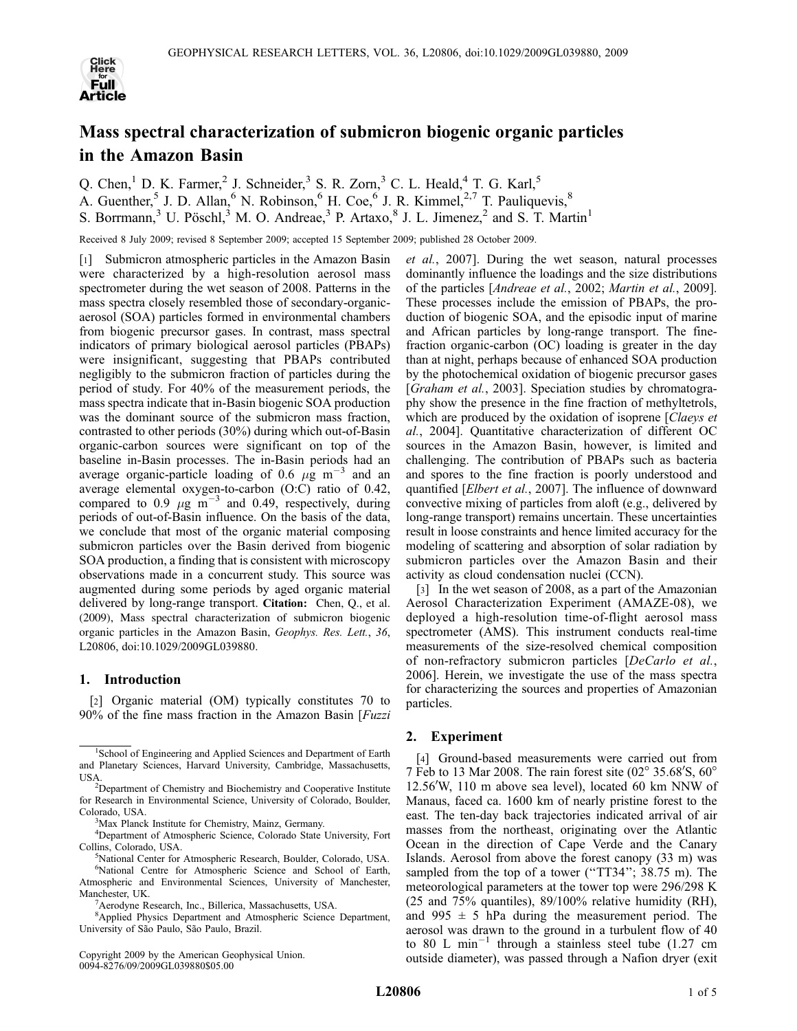

# Mass spectral characterization of submicron biogenic organic particles in the Amazon Basin

Q. Chen, <sup>1</sup> D. K. Farmer, <sup>2</sup> J. Schneider, <sup>3</sup> S. R. Zorn, <sup>3</sup> C. L. Heald, <sup>4</sup> T. G. Karl, <sup>5</sup> A. Guenther,<sup>5</sup> J. D. Allan,<sup>6</sup> N. Robinson,<sup>6</sup> H. Coe,<sup>6</sup> J. R. Kimmel,<sup>2,7</sup> T. Pauliquevis,<sup>8</sup> S. Borrmann,<sup>3</sup> U. Pöschl,<sup>3</sup> M. O. Andreae,<sup>3</sup> P. Artaxo,<sup>8</sup> J. L. Jimenez,<sup>2</sup> and S. T. Martin<sup>1</sup>

Received 8 July 2009; revised 8 September 2009; accepted 15 September 2009; published 28 October 2009.

[1] Submicron atmospheric particles in the Amazon Basin were characterized by a high-resolution aerosol mass spectrometer during the wet season of 2008. Patterns in the mass spectra closely resembled those of secondary-organicaerosol (SOA) particles formed in environmental chambers from biogenic precursor gases. In contrast, mass spectral indicators of primary biological aerosol particles (PBAPs) were insignificant, suggesting that PBAPs contributed negligibly to the submicron fraction of particles during the period of study. For 40% of the measurement periods, the mass spectra indicate that in-Basin biogenic SOA production was the dominant source of the submicron mass fraction, contrasted to other periods (30%) during which out-of-Basin organic-carbon sources were significant on top of the baseline in-Basin processes. The in-Basin periods had an average organic-particle loading of 0.6  $\mu$ g m<sup>-3</sup> and an average elemental oxygen-to-carbon (O:C) ratio of 0.42, compared to 0.9  $\mu$ g m<sup>-3</sup> and 0.49, respectively, during periods of out-of-Basin influence. On the basis of the data, we conclude that most of the organic material composing submicron particles over the Basin derived from biogenic SOA production, a finding that is consistent with microscopy observations made in a concurrent study. This source was augmented during some periods by aged organic material delivered by long-range transport. Citation: Chen, Q., et al. (2009), Mass spectral characterization of submicron biogenic organic particles in the Amazon Basin, Geophys. Res. Lett., 36, L20806, doi:10.1029/2009GL039880.

#### 1. Introduction

[2] Organic material (OM) typically constitutes 70 to 90% of the fine mass fraction in the Amazon Basin [Fuzzi

Copyright 2009 by the American Geophysical Union. 0094-8276/09/2009GL039880\$05.00

et al., 2007]. During the wet season, natural processes dominantly influence the loadings and the size distributions of the particles [Andreae et al., 2002; Martin et al., 2009]. These processes include the emission of PBAPs, the production of biogenic SOA, and the episodic input of marine and African particles by long-range transport. The finefraction organic-carbon (OC) loading is greater in the day than at night, perhaps because of enhanced SOA production by the photochemical oxidation of biogenic precursor gases [Graham et al., 2003]. Speciation studies by chromatography show the presence in the fine fraction of methyltetrols, which are produced by the oxidation of isoprene [Claeys et al., 2004]. Quantitative characterization of different OC sources in the Amazon Basin, however, is limited and challenging. The contribution of PBAPs such as bacteria and spores to the fine fraction is poorly understood and quantified [Elbert et al., 2007]. The influence of downward convective mixing of particles from aloft (e.g., delivered by long-range transport) remains uncertain. These uncertainties result in loose constraints and hence limited accuracy for the modeling of scattering and absorption of solar radiation by submicron particles over the Amazon Basin and their activity as cloud condensation nuclei (CCN).

[3] In the wet season of 2008, as a part of the Amazonian Aerosol Characterization Experiment (AMAZE-08), we deployed a high-resolution time-of-flight aerosol mass spectrometer (AMS). This instrument conducts real-time measurements of the size-resolved chemical composition of non-refractory submicron particles [DeCarlo et al., 2006]. Herein, we investigate the use of the mass spectra for characterizing the sources and properties of Amazonian particles.

## 2. Experiment

[4] Ground-based measurements were carried out from 7 Feb to 13 Mar 2008. The rain forest site  $(02^{\circ} 35.68' S, 60^{\circ}$ 12.56'W, 110 m above sea level), located  $60$  km NNW of Manaus, faced ca. 1600 km of nearly pristine forest to the east. The ten-day back trajectories indicated arrival of air masses from the northeast, originating over the Atlantic Ocean in the direction of Cape Verde and the Canary Islands. Aerosol from above the forest canopy (33 m) was sampled from the top of a tower ("TT34"; 38.75 m). The meteorological parameters at the tower top were 296/298 K (25 and 75% quantiles), 89/100% relative humidity (RH), and 995  $\pm$  5 hPa during the measurement period. The aerosol was drawn to the ground in a turbulent flow of 40 to 80 L min<sup>-1</sup> through a stainless steel tube (1.27 cm outside diameter), was passed through a Nafion dryer (exit

<sup>&</sup>lt;sup>1</sup>School of Engineering and Applied Sciences and Department of Earth and Planetary Sciences, Harvard University, Cambridge, Massachusetts, USA.

Department of Chemistry and Biochemistry and Cooperative Institute for Research in Environmental Science, University of Colorado, Boulder, Colorado, USA.

<sup>&</sup>lt;sup>3</sup>Max Planck Institute for Chemistry, Mainz, Germany.

<sup>4</sup> Department of Atmospheric Science, Colorado State University, Fort Collins, Colorado, USA.

<sup>&</sup>lt;sup>5</sup>National Center for Atmospheric Research, Boulder, Colorado, USA. 6 National Centre for Atmospheric Science and School of Earth, Atmospheric and Environmental Sciences, University of Manchester,

Manchester, UK. <sup>7</sup> Aerodyne Research, Inc., Billerica, Massachusetts, USA.

<sup>8</sup> Applied Physics Department and Atmospheric Science Department,

University of São Paulo, São Paulo, Brazil.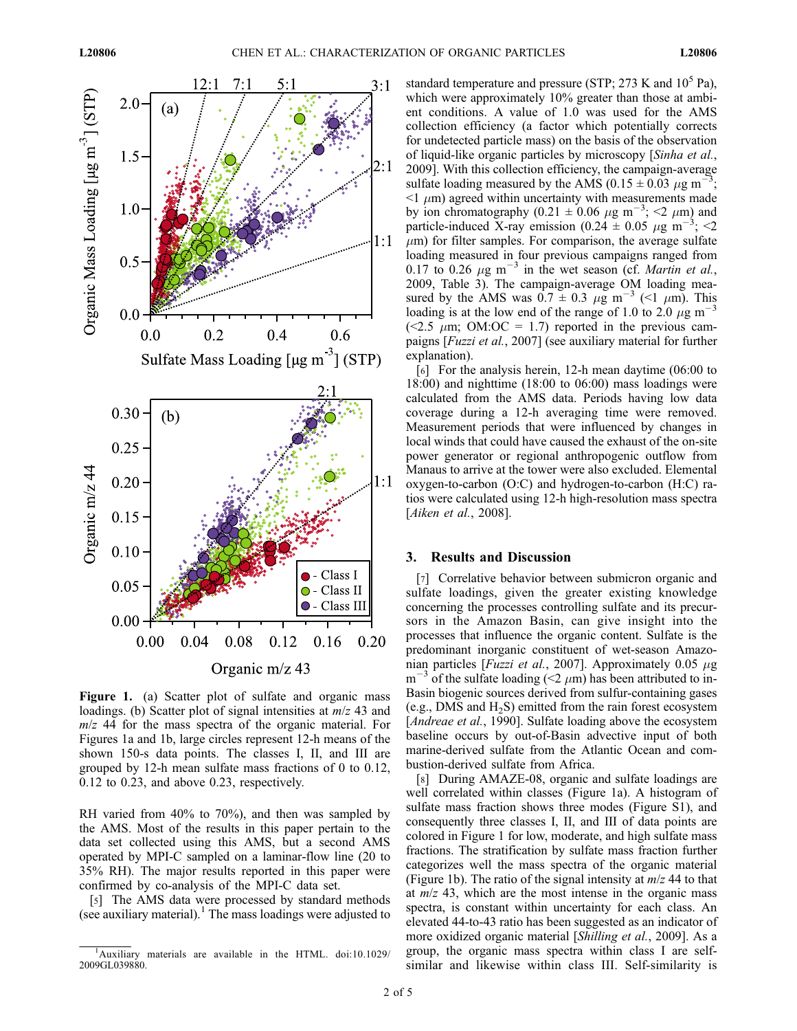

Figure 1. (a) Scatter plot of sulfate and organic mass loadings. (b) Scatter plot of signal intensities at  $m/z$  43 and  $m/z$  44 for the mass spectra of the organic material. For Figures 1a and 1b, large circles represent 12-h means of the shown 150-s data points. The classes I, II, and III are grouped by 12-h mean sulfate mass fractions of 0 to 0.12, 0.12 to 0.23, and above 0.23, respectively.

RH varied from 40% to 70%), and then was sampled by the AMS. Most of the results in this paper pertain to the data set collected using this AMS, but a second AMS operated by MPI-C sampled on a laminar-flow line (20 to 35% RH). The major results reported in this paper were confirmed by co-analysis of the MPI-C data set.

[5] The AMS data were processed by standard methods (see auxiliary material).<sup>1</sup> The mass loadings were adjusted to standard temperature and pressure (STP;  $273$  K and  $10<sup>5</sup>$  Pa), which were approximately 10% greater than those at ambient conditions. A value of 1.0 was used for the AMS collection efficiency (a factor which potentially corrects for undetected particle mass) on the basis of the observation of liquid-like organic particles by microscopy [Sinha et al., 2009]. With this collection efficiency, the campaign-average sulfate loading measured by the AMS (0.15  $\pm$  0.03  $\mu$ g m<sup>-3</sup> ;  $\leq$ 1  $\mu$ m) agreed within uncertainty with measurements made by ion chromatography (0.21  $\pm$  0.06  $\mu$ g m<sup>-3</sup>; <2  $\mu$ m) and particle-induced X-ray emission (0.24  $\pm$  0.05  $\mu$ g m<sup>-3</sup>; <2  $\mu$ m) for filter samples. For comparison, the average sulfate loading measured in four previous campaigns ranged from 0.17 to 0.26  $\mu$ g m<sup>-3</sup> in the wet season (cf. *Martin et al.*, 2009, Table 3). The campaign-average OM loading measured by the AMS was  $0.7 \pm 0.3$   $\mu$ g m<sup>-3</sup> (<1  $\mu$ m). This loading is at the low end of the range of 1.0 to 2.0  $\mu$ g m<sup>-3</sup> (<2.5  $\mu$ m; OM:OC = 1.7) reported in the previous campaigns [*Fuzzi et al.*, 2007] (see auxiliary material for further explanation).

[6] For the analysis herein, 12-h mean daytime (06:00 to 18:00) and nighttime (18:00 to 06:00) mass loadings were calculated from the AMS data. Periods having low data coverage during a 12-h averaging time were removed. Measurement periods that were influenced by changes in local winds that could have caused the exhaust of the on-site power generator or regional anthropogenic outflow from Manaus to arrive at the tower were also excluded. Elemental oxygen-to-carbon (O:C) and hydrogen-to-carbon (H:C) ratios were calculated using 12-h high-resolution mass spectra [Aiken et al., 2008].

## 3. Results and Discussion

[7] Correlative behavior between submicron organic and sulfate loadings, given the greater existing knowledge concerning the processes controlling sulfate and its precursors in the Amazon Basin, can give insight into the processes that influence the organic content. Sulfate is the predominant inorganic constituent of wet-season Amazonian particles [Fuzzi et al., 2007]. Approximately 0.05  $\mu$ g  $m^{-3}$  of the sulfate loading (<2  $\mu$ m) has been attributed to in-Basin biogenic sources derived from sulfur-containing gases (e.g., DMS and  $H_2S$ ) emitted from the rain forest ecosystem [Andreae et al., 1990]. Sulfate loading above the ecosystem baseline occurs by out-of-Basin advective input of both marine-derived sulfate from the Atlantic Ocean and combustion-derived sulfate from Africa.

[8] During AMAZE-08, organic and sulfate loadings are well correlated within classes (Figure 1a). A histogram of sulfate mass fraction shows three modes (Figure S1), and consequently three classes I, II, and III of data points are colored in Figure 1 for low, moderate, and high sulfate mass fractions. The stratification by sulfate mass fraction further categorizes well the mass spectra of the organic material (Figure 1b). The ratio of the signal intensity at  $m/z$  44 to that at  $m/z$  43, which are the most intense in the organic mass spectra, is constant within uncertainty for each class. An elevated 44-to-43 ratio has been suggested as an indicator of more oxidized organic material [Shilling et al., 2009]. As a group, the organic mass spectra within class I are selfsimilar and likewise within class III. Self-similarity is

<sup>&</sup>lt;sup>1</sup>Auxiliary materials are available in the HTML. doi:10.1029/ 2009GL039880.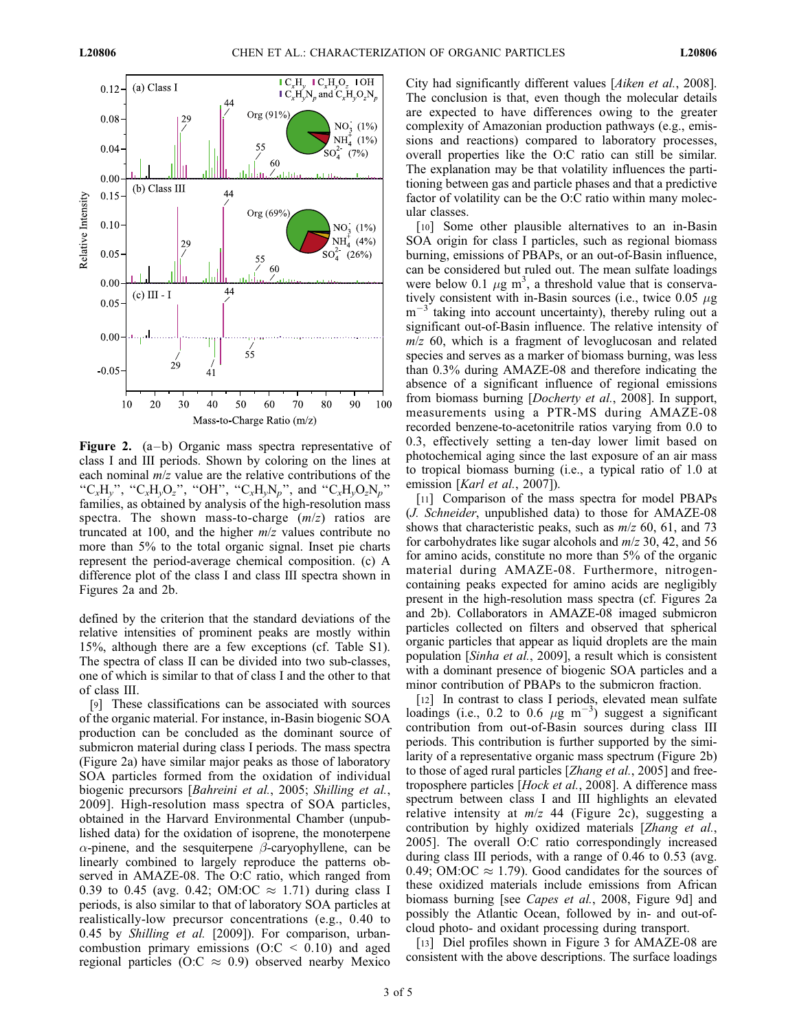

**Figure 2.** (a-b) Organic mass spectra representative of class I and III periods. Shown by coloring on the lines at each nominal  $m/z$  value are the relative contributions of the "C<sub>x</sub>H<sub>v</sub>", "C<sub>x</sub>H<sub>v</sub>O<sub>z</sub>", "OH", "C<sub>x</sub>H<sub>v</sub>N<sub>p</sub>", and "C<sub>x</sub>H<sub>v</sub>O<sub>z</sub>N<sub>p</sub>" families, as obtained by analysis of the high-resolution mass spectra. The shown mass-to-charge  $(m/z)$  ratios are truncated at 100, and the higher  $m/z$  values contribute no more than 5% to the total organic signal. Inset pie charts represent the period-average chemical composition. (c) A difference plot of the class I and class III spectra shown in Figures 2a and 2b.

defined by the criterion that the standard deviations of the relative intensities of prominent peaks are mostly within 15%, although there are a few exceptions (cf. Table S1). The spectra of class II can be divided into two sub-classes, one of which is similar to that of class I and the other to that of class III.

[9] These classifications can be associated with sources of the organic material. For instance, in-Basin biogenic SOA production can be concluded as the dominant source of submicron material during class I periods. The mass spectra (Figure 2a) have similar major peaks as those of laboratory SOA particles formed from the oxidation of individual biogenic precursors [Bahreini et al., 2005; Shilling et al., 2009]. High-resolution mass spectra of SOA particles, obtained in the Harvard Environmental Chamber (unpublished data) for the oxidation of isoprene, the monoterpene  $\alpha$ -pinene, and the sesquiterpene  $\beta$ -caryophyllene, can be linearly combined to largely reproduce the patterns observed in AMAZE-08. The O:C ratio, which ranged from 0.39 to 0.45 (avg. 0.42; OM:OC  $\approx$  1.71) during class I periods, is also similar to that of laboratory SOA particles at realistically-low precursor concentrations (e.g., 0.40 to 0.45 by Shilling et al. [2009]). For comparison, urbancombustion primary emissions  $(O:C < 0.10)$  and aged regional particles (O:C  $\approx$  0.9) observed nearby Mexico

City had significantly different values [Aiken et al., 2008]. The conclusion is that, even though the molecular details are expected to have differences owing to the greater complexity of Amazonian production pathways (e.g., emissions and reactions) compared to laboratory processes, overall properties like the O:C ratio can still be similar. The explanation may be that volatility influences the partitioning between gas and particle phases and that a predictive factor of volatility can be the O:C ratio within many molecular classes.

[10] Some other plausible alternatives to an in-Basin SOA origin for class I particles, such as regional biomass burning, emissions of PBAPs, or an out-of-Basin influence, can be considered but ruled out. The mean sulfate loadings were below 0.1  $\mu$ g m<sup>3</sup>, a threshold value that is conservatively consistent with in-Basin sources (i.e., twice  $0.05 \mu$ g  $m$ <sup>-</sup> <sup>3</sup> taking into account uncertainty), thereby ruling out a significant out-of-Basin influence. The relative intensity of  $m/z$  60, which is a fragment of levoglucosan and related species and serves as a marker of biomass burning, was less than 0.3% during AMAZE-08 and therefore indicating the absence of a significant influence of regional emissions from biomass burning [Docherty et al., 2008]. In support, measurements using a PTR-MS during AMAZE-08 recorded benzene-to-acetonitrile ratios varying from 0.0 to 0.3, effectively setting a ten-day lower limit based on photochemical aging since the last exposure of an air mass to tropical biomass burning (i.e., a typical ratio of 1.0 at emission [Karl et al., 2007]).

[11] Comparison of the mass spectra for model PBAPs (J. Schneider, unpublished data) to those for AMAZE-08 shows that characteristic peaks, such as  $m/z$  60, 61, and 73 for carbohydrates like sugar alcohols and  $m/z$  30, 42, and 56 for amino acids, constitute no more than 5% of the organic material during AMAZE-08. Furthermore, nitrogencontaining peaks expected for amino acids are negligibly present in the high-resolution mass spectra (cf. Figures 2a and 2b). Collaborators in AMAZE-08 imaged submicron particles collected on filters and observed that spherical organic particles that appear as liquid droplets are the main population [Sinha et al., 2009], a result which is consistent with a dominant presence of biogenic SOA particles and a minor contribution of PBAPs to the submicron fraction.

[12] In contrast to class I periods, elevated mean sulfate loadings (i.e., 0.2 to 0.6  $\mu$ g m<sup>-3</sup>) suggest a significant contribution from out-of-Basin sources during class III periods. This contribution is further supported by the similarity of a representative organic mass spectrum (Figure 2b) to those of aged rural particles [Zhang et al., 2005] and freetroposphere particles [Hock et al., 2008]. A difference mass spectrum between class I and III highlights an elevated relative intensity at  $m/z$  44 (Figure 2c), suggesting a contribution by highly oxidized materials [Zhang et al., 2005]. The overall O:C ratio correspondingly increased during class III periods, with a range of 0.46 to 0.53 (avg. 0.49; OM:OC  $\approx$  1.79). Good candidates for the sources of these oxidized materials include emissions from African biomass burning [see *Capes et al.*, 2008, Figure 9d] and possibly the Atlantic Ocean, followed by in- and out-ofcloud photo- and oxidant processing during transport.

[13] Diel profiles shown in Figure 3 for AMAZE-08 are consistent with the above descriptions. The surface loadings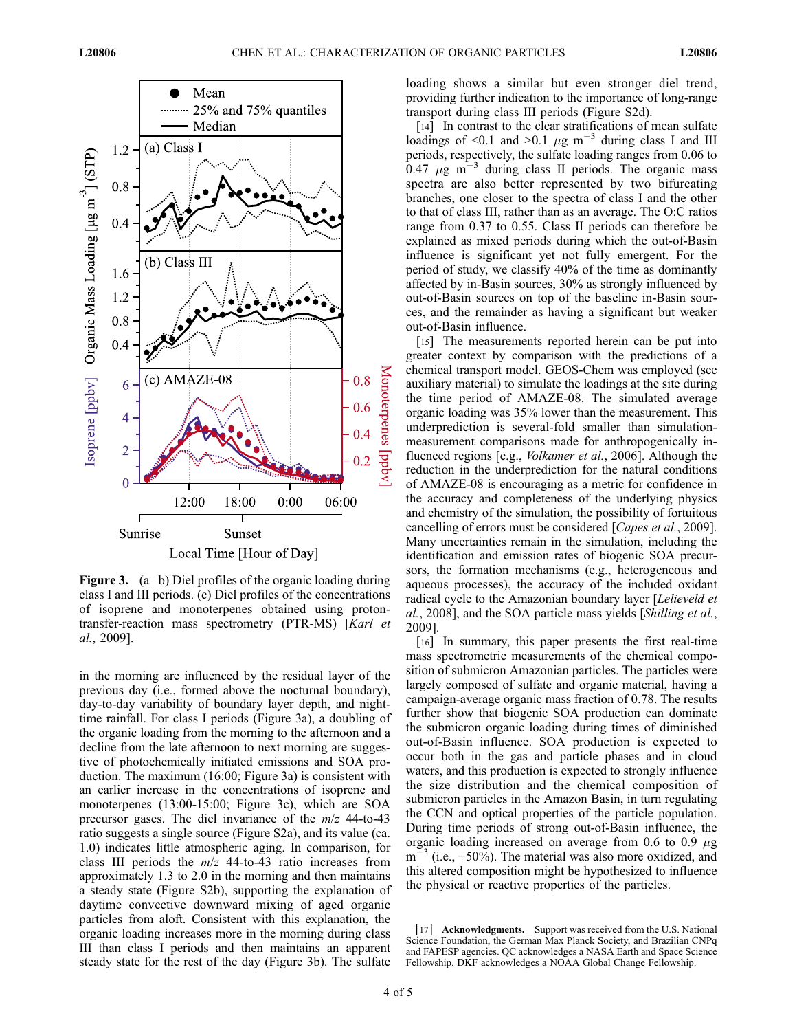

Figure 3.  $(a - b)$  Diel profiles of the organic loading during class I and III periods. (c) Diel profiles of the concentrations of isoprene and monoterpenes obtained using protontransfer-reaction mass spectrometry (PTR-MS) [Karl et al., 2009].

in the morning are influenced by the residual layer of the previous day (i.e., formed above the nocturnal boundary), day-to-day variability of boundary layer depth, and nighttime rainfall. For class I periods (Figure 3a), a doubling of the organic loading from the morning to the afternoon and a decline from the late afternoon to next morning are suggestive of photochemically initiated emissions and SOA production. The maximum (16:00; Figure 3a) is consistent with an earlier increase in the concentrations of isoprene and monoterpenes (13:00-15:00; Figure 3c), which are SOA precursor gases. The diel invariance of the m/z 44-to-43 ratio suggests a single source (Figure S2a), and its value (ca. 1.0) indicates little atmospheric aging. In comparison, for class III periods the  $m/z$  44-to-43 ratio increases from approximately 1.3 to 2.0 in the morning and then maintains a steady state (Figure S2b), supporting the explanation of daytime convective downward mixing of aged organic particles from aloft. Consistent with this explanation, the organic loading increases more in the morning during class III than class I periods and then maintains an apparent steady state for the rest of the day (Figure 3b). The sulfate

loading shows a similar but even stronger diel trend, providing further indication to the importance of long-range transport during class III periods (Figure S2d).

[14] In contrast to the clear stratifications of mean sulfate loadings of <0.1 and >0.1  $\mu$ g m<sup>-3</sup> during class I and III periods, respectively, the sulfate loading ranges from 0.06 to 0.47  $\mu$ g m<sup>-3</sup> during class II periods. The organic mass spectra are also better represented by two bifurcating branches, one closer to the spectra of class I and the other to that of class III, rather than as an average. The O:C ratios range from 0.37 to 0.55. Class II periods can therefore be explained as mixed periods during which the out-of-Basin influence is significant yet not fully emergent. For the period of study, we classify 40% of the time as dominantly affected by in-Basin sources, 30% as strongly influenced by out-of-Basin sources on top of the baseline in-Basin sources, and the remainder as having a significant but weaker out-of-Basin influence.

[15] The measurements reported herein can be put into greater context by comparison with the predictions of a chemical transport model. GEOS-Chem was employed (see auxiliary material) to simulate the loadings at the site during the time period of AMAZE-08. The simulated average organic loading was 35% lower than the measurement. This underprediction is several-fold smaller than simulationmeasurement comparisons made for anthropogenically influenced regions [e.g., Volkamer et al., 2006]. Although the reduction in the underprediction for the natural conditions of AMAZE-08 is encouraging as a metric for confidence in the accuracy and completeness of the underlying physics and chemistry of the simulation, the possibility of fortuitous cancelling of errors must be considered [Capes et al., 2009]. Many uncertainties remain in the simulation, including the identification and emission rates of biogenic SOA precursors, the formation mechanisms (e.g., heterogeneous and aqueous processes), the accuracy of the included oxidant radical cycle to the Amazonian boundary layer [Lelieveld et al., 2008], and the SOA particle mass yields [Shilling et al., 2009].

[16] In summary, this paper presents the first real-time mass spectrometric measurements of the chemical composition of submicron Amazonian particles. The particles were largely composed of sulfate and organic material, having a campaign-average organic mass fraction of 0.78. The results further show that biogenic SOA production can dominate the submicron organic loading during times of diminished out-of-Basin influence. SOA production is expected to occur both in the gas and particle phases and in cloud waters, and this production is expected to strongly influence the size distribution and the chemical composition of submicron particles in the Amazon Basin, in turn regulating the CCN and optical properties of the particle population. During time periods of strong out-of-Basin influence, the organic loading increased on average from 0.6 to 0.9  $\mu$ g  $m<sup>23</sup>$  (i.e., +50%). The material was also more oxidized, and this altered composition might be hypothesized to influence the physical or reactive properties of the particles.

[17] **Acknowledgments.** Support was received from the U.S. National Science Foundation, the German Max Planck Society, and Brazilian CNPq and FAPESP agencies. QC acknowledges a NASA Earth and Space Science Fellowship. DKF acknowledges a NOAA Global Change Fellowship.